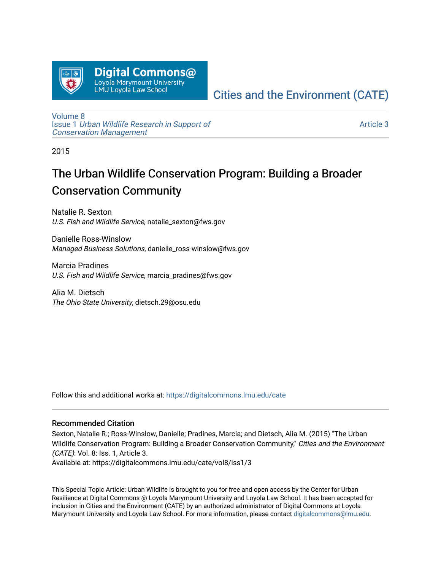

[Cities and the Environment \(CATE\)](https://digitalcommons.lmu.edu/cate) 

[Volume 8](https://digitalcommons.lmu.edu/cate/vol8) Issue 1 [Urban Wildlife Research in Support of](https://digitalcommons.lmu.edu/cate/vol8/iss1)  [Conservation Management](https://digitalcommons.lmu.edu/cate/vol8/iss1)

[Article 3](https://digitalcommons.lmu.edu/cate/vol8/iss1/3) 

2015

# The Urban Wildlife Conservation Program: Building a Broader Conservation Community

Natalie R. Sexton U.S. Fish and Wildlife Service, natalie\_sexton@fws.gov

Danielle Ross-Winslow Managed Business Solutions, danielle\_ross-winslow@fws.gov

Marcia Pradines U.S. Fish and Wildlife Service, marcia\_pradines@fws.gov

Alia M. Dietsch The Ohio State University, dietsch.29@osu.edu

Follow this and additional works at: [https://digitalcommons.lmu.edu/cate](https://digitalcommons.lmu.edu/cate?utm_source=digitalcommons.lmu.edu%2Fcate%2Fvol8%2Fiss1%2F3&utm_medium=PDF&utm_campaign=PDFCoverPages) 

#### Recommended Citation

Sexton, Natalie R.; Ross-Winslow, Danielle; Pradines, Marcia; and Dietsch, Alia M. (2015) "The Urban Wildlife Conservation Program: Building a Broader Conservation Community," Cities and the Environment (CATE): Vol. 8: Iss. 1, Article 3.

Available at: https://digitalcommons.lmu.edu/cate/vol8/iss1/3

This Special Topic Article: Urban Wildlife is brought to you for free and open access by the Center for Urban Resilience at Digital Commons @ Loyola Marymount University and Loyola Law School. It has been accepted for inclusion in Cities and the Environment (CATE) by an authorized administrator of Digital Commons at Loyola Marymount University and Loyola Law School. For more information, please contact [digitalcommons@lmu.edu](mailto:digitalcommons@lmu.edu).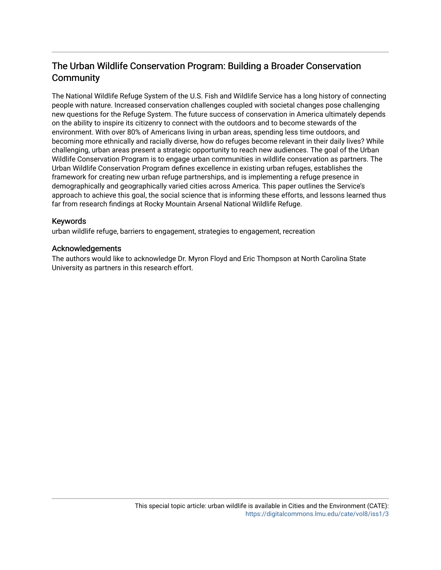## The Urban Wildlife Conservation Program: Building a Broader Conservation Community

The National Wildlife Refuge System of the U.S. Fish and Wildlife Service has a long history of connecting people with nature. Increased conservation challenges coupled with societal changes pose challenging new questions for the Refuge System. The future success of conservation in America ultimately depends on the ability to inspire its citizenry to connect with the outdoors and to become stewards of the environment. With over 80% of Americans living in urban areas, spending less time outdoors, and becoming more ethnically and racially diverse, how do refuges become relevant in their daily lives? While challenging, urban areas present a strategic opportunity to reach new audiences. The goal of the Urban Wildlife Conservation Program is to engage urban communities in wildlife conservation as partners. The Urban Wildlife Conservation Program defines excellence in existing urban refuges, establishes the framework for creating new urban refuge partnerships, and is implementing a refuge presence in demographically and geographically varied cities across America. This paper outlines the Service's approach to achieve this goal, the social science that is informing these efforts, and lessons learned thus far from research findings at Rocky Mountain Arsenal National Wildlife Refuge.

## Keywords

urban wildlife refuge, barriers to engagement, strategies to engagement, recreation

## Acknowledgements

The authors would like to acknowledge Dr. Myron Floyd and Eric Thompson at North Carolina State University as partners in this research effort.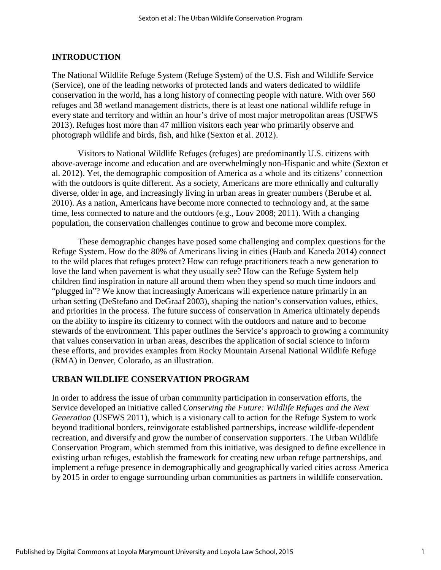## **INTRODUCTION**

The National Wildlife Refuge System (Refuge System) of the U.S. Fish and Wildlife Service (Service), one of the leading networks of protected lands and waters dedicated to wildlife conservation in the world, has a long history of connecting people with nature. With over 560 refuges and 38 wetland management districts, there is at least one national wildlife refuge in every state and territory and within an hour's drive of most major metropolitan areas (USFWS 2013). Refuges host more than 47 million visitors each year who primarily observe and photograph wildlife and birds, fish, and hike (Sexton et al. 2012).

Visitors to National Wildlife Refuges (refuges) are predominantly U.S. citizens with above-average income and education and are overwhelmingly non-Hispanic and white (Sexton et al. 2012). Yet, the demographic composition of America as a whole and its citizens' connection with the outdoors is quite different. As a society, Americans are more ethnically and culturally diverse, older in age, and increasingly living in urban areas in greater numbers (Berube et al. 2010). As a nation, Americans have become more connected to technology and, at the same time, less connected to nature and the outdoors (e.g., Louv 2008; 2011). With a changing population, the conservation challenges continue to grow and become more complex.

These demographic changes have posed some challenging and complex questions for the Refuge System. How do the 80% of Americans living in cities (Haub and Kaneda 2014) connect to the wild places that refuges protect? How can refuge practitioners teach a new generation to love the land when pavement is what they usually see? How can the Refuge System help children find inspiration in nature all around them when they spend so much time indoors and "plugged in"? We know that increasingly Americans will experience nature primarily in an urban setting (DeStefano and DeGraaf 2003), shaping the nation's conservation values, ethics, and priorities in the process. The future success of conservation in America ultimately depends on the ability to inspire its citizenry to connect with the outdoors and nature and to become stewards of the environment. This paper outlines the Service's approach to growing a community that values conservation in urban areas, describes the application of social science to inform these efforts, and provides examples from Rocky Mountain Arsenal National Wildlife Refuge (RMA) in Denver, Colorado, as an illustration.

## **URBAN WILDLIFE CONSERVATION PROGRAM**

In order to address the issue of urban community participation in conservation efforts, the Service developed an initiative called *Conserving the Future: Wildlife Refuges and the Next Generation* (USFWS 2011), which is a visionary call to action for the Refuge System to work beyond traditional borders, reinvigorate established partnerships, increase wildlife-dependent recreation, and diversify and grow the number of conservation supporters. The Urban Wildlife Conservation Program, which stemmed from this initiative, was designed to define excellence in existing urban refuges, establish the framework for creating new urban refuge partnerships, and implement a refuge presence in demographically and geographically varied cities across America by 2015 in order to engage surrounding urban communities as partners in wildlife conservation.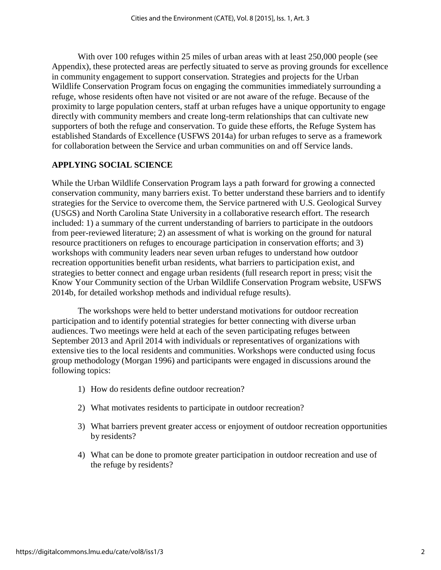With over 100 refuges within 25 miles of urban areas with at least 250,000 people (see Appendix), these protected areas are perfectly situated to serve as proving grounds for excellence in community engagement to support conservation. Strategies and projects for the Urban Wildlife Conservation Program focus on engaging the communities immediately surrounding a refuge, whose residents often have not visited or are not aware of the refuge. Because of the proximity to large population centers, staff at urban refuges have a unique opportunity to engage directly with community members and create long-term relationships that can cultivate new supporters of both the refuge and conservation. To guide these efforts, the Refuge System has established Standards of Excellence (USFWS 2014a) for urban refuges to serve as a framework for collaboration between the Service and urban communities on and off Service lands.

## **APPLYING SOCIAL SCIENCE**

While the Urban Wildlife Conservation Program lays a path forward for growing a connected conservation community, many barriers exist. To better understand these barriers and to identify strategies for the Service to overcome them, the Service partnered with U.S. Geological Survey (USGS) and North Carolina State University in a collaborative research effort. The research included: 1) a summary of the current understanding of barriers to participate in the outdoors from peer-reviewed literature; 2) an assessment of what is working on the ground for natural resource practitioners on refuges to encourage participation in conservation efforts; and 3) workshops with community leaders near seven urban refuges to understand how outdoor recreation opportunities benefit urban residents, what barriers to participation exist, and strategies to better connect and engage urban residents (full research report in press; visit the Know Your Community section of the Urban Wildlife Conservation Program website, USFWS 2014b, for detailed workshop methods and individual refuge results).

The workshops were held to better understand motivations for outdoor recreation participation and to identify potential strategies for better connecting with diverse urban audiences. Two meetings were held at each of the seven participating refuges between September 2013 and April 2014 with individuals or representatives of organizations with extensive ties to the local residents and communities. Workshops were conducted using focus group methodology (Morgan 1996) and participants were engaged in discussions around the following topics:

- 1) How do residents define outdoor recreation?
- 2) What motivates residents to participate in outdoor recreation?
- 3) What barriers prevent greater access or enjoyment of outdoor recreation opportunities by residents?
- 4) What can be done to promote greater participation in outdoor recreation and use of the refuge by residents?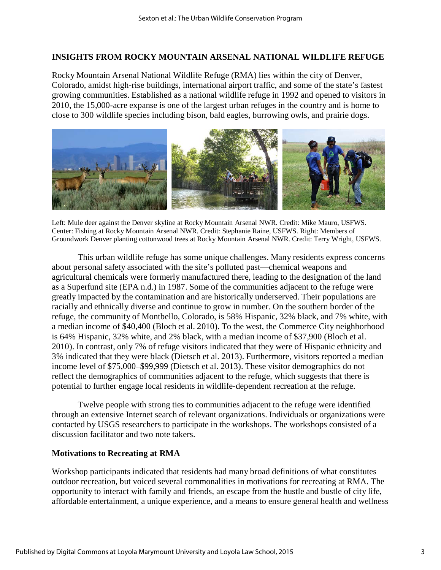## **INSIGHTS FROM ROCKY MOUNTAIN ARSENAL NATIONAL WILDLIFE REFUGE**

Rocky Mountain Arsenal National Wildlife Refuge (RMA) lies within the city of Denver, Colorado, amidst high-rise buildings, international airport traffic, and some of the state's fastest growing communities. Established as a national wildlife refuge in 1992 and opened to visitors in 2010, the 15,000-acre expanse is one of the largest urban refuges in the country and is home to close to 300 wildlife species including bison, bald eagles, burrowing owls, and prairie dogs.



Left: Mule deer against the Denver skyline at Rocky Mountain Arsenal NWR. Credit: Mike Mauro, USFWS. Center: Fishing at Rocky Mountain Arsenal NWR. Credit: Stephanie Raine, USFWS. Right: Members of Groundwork Denver planting cottonwood trees at Rocky Mountain Arsenal NWR. Credit: Terry Wright, USFWS.

This urban wildlife refuge has some unique challenges. Many residents express concerns about personal safety associated with the site's polluted past—chemical weapons and agricultural chemicals were formerly manufactured there, leading to the designation of the land as a Superfund site (EPA n.d.) in 1987. Some of the communities adjacent to the refuge were greatly impacted by the contamination and are historically underserved. Their populations are racially and ethnically diverse and continue to grow in number. On the southern border of the refuge, the community of Montbello, Colorado, is 58% Hispanic, 32% black, and 7% white, with a median income of \$40,400 (Bloch et al. 2010). To the west, the Commerce City neighborhood is 64% Hispanic, 32% white, and 2% black, with a median income of \$37,900 (Bloch et al. 2010). In contrast, only 7% of refuge visitors indicated that they were of Hispanic ethnicity and 3% indicated that they were black (Dietsch et al. 2013). Furthermore, visitors reported a median income level of \$75,000–\$99,999 (Dietsch et al. 2013). These visitor demographics do not reflect the demographics of communities adjacent to the refuge, which suggests that there is potential to further engage local residents in wildlife-dependent recreation at the refuge.

Twelve people with strong ties to communities adjacent to the refuge were identified through an extensive Internet search of relevant organizations. Individuals or organizations were contacted by USGS researchers to participate in the workshops. The workshops consisted of a discussion facilitator and two note takers.

#### **Motivations to Recreating at RMA**

Workshop participants indicated that residents had many broad definitions of what constitutes outdoor recreation, but voiced several commonalities in motivations for recreating at RMA. The opportunity to interact with family and friends, an escape from the hustle and bustle of city life, affordable entertainment, a unique experience, and a means to ensure general health and wellness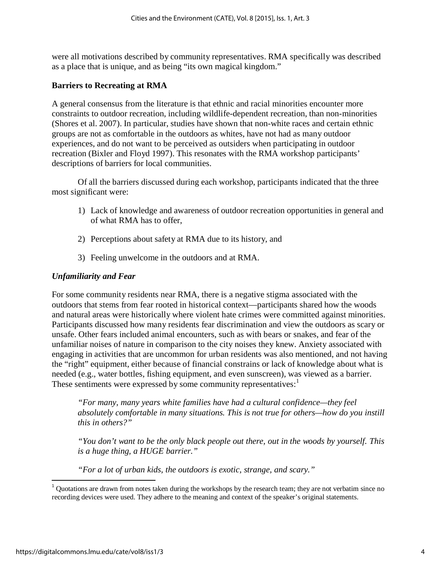were all motivations described by community representatives. RMA specifically was described as a place that is unique, and as being "its own magical kingdom."

## **Barriers to Recreating at RMA**

A general consensus from the literature is that ethnic and racial minorities encounter more constraints to outdoor recreation, including wildlife-dependent recreation, than non-minorities (Shores et al. 2007). In particular, studies have shown that non-white races and certain ethnic groups are not as comfortable in the outdoors as whites, have not had as many outdoor experiences, and do not want to be perceived as outsiders when participating in outdoor recreation (Bixler and Floyd 1997). This resonates with the RMA workshop participants' descriptions of barriers for local communities.

Of all the barriers discussed during each workshop, participants indicated that the three most significant were:

- 1) Lack of knowledge and awareness of outdoor recreation opportunities in general and of what RMA has to offer,
- 2) Perceptions about safety at RMA due to its history, and
- 3) Feeling unwelcome in the outdoors and at RMA.

## *Unfamiliarity and Fear*

For some community residents near RMA, there is a negative stigma associated with the outdoors that stems from fear rooted in historical context—participants shared how the woods and natural areas were historically where violent hate crimes were committed against minorities. Participants discussed how many residents fear discrimination and view the outdoors as scary or unsafe. Other fears included animal encounters, such as with bears or snakes, and fear of the unfamiliar noises of nature in comparison to the city noises they knew. Anxiety associated with engaging in activities that are uncommon for urban residents was also mentioned, and not having the "right" equipment, either because of financial constrains or lack of knowledge about what is needed (e.g., water bottles, fishing equipment, and even sunscreen), was viewed as a barrier. These sentiments were expressed by some community representatives:<sup>[1](#page-5-0)</sup>

*"For many, many years white families have had a cultural confidence—they feel absolutely comfortable in many situations. This is not true for others—how do you instill this in others?"*

*"You don't want to be the only black people out there, out in the woods by yourself. This is a huge thing, a HUGE barrier."*

*"For a lot of urban kids, the outdoors is exotic, strange, and scary."*

<span id="page-5-0"></span>l  $1$  Quotations are drawn from notes taken during the workshops by the research team; they are not verbatim since no recording devices were used. They adhere to the meaning and context of the speaker's original statements.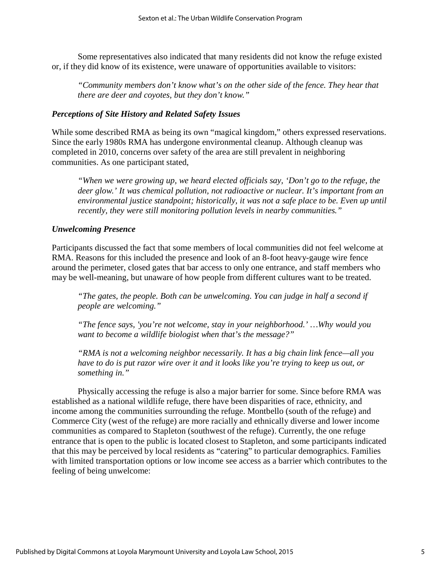Some representatives also indicated that many residents did not know the refuge existed or, if they did know of its existence, were unaware of opportunities available to visitors:

*"Community members don't know what's on the other side of the fence. They hear that there are deer and coyotes, but they don't know."*

#### *Perceptions of Site History and Related Safety Issues*

While some described RMA as being its own "magical kingdom," others expressed reservations. Since the early 1980s RMA has undergone environmental cleanup. Although cleanup was completed in 2010, concerns over safety of the area are still prevalent in neighboring communities. As one participant stated,

*"When we were growing up, we heard elected officials say, 'Don't go to the refuge, the deer glow.' It was chemical pollution, not radioactive or nuclear. It's important from an environmental justice standpoint; historically, it was not a safe place to be. Even up until recently, they were still monitoring pollution levels in nearby communities."*

## *Unwelcoming Presence*

Participants discussed the fact that some members of local communities did not feel welcome at RMA. Reasons for this included the presence and look of an 8-foot heavy-gauge wire fence around the perimeter, closed gates that bar access to only one entrance, and staff members who may be well-meaning, but unaware of how people from different cultures want to be treated.

*"The gates, the people. Both can be unwelcoming. You can judge in half a second if people are welcoming."* 

*"The fence says, 'you're not welcome, stay in your neighborhood.' …Why would you want to become a wildlife biologist when that's the message?"* 

*"RMA is not a welcoming neighbor necessarily. It has a big chain link fence—all you have to do is put razor wire over it and it looks like you're trying to keep us out, or something in."* 

Physically accessing the refuge is also a major barrier for some. Since before RMA was established as a national wildlife refuge, there have been disparities of race, ethnicity, and income among the communities surrounding the refuge. Montbello (south of the refuge) and Commerce City (west of the refuge) are more racially and ethnically diverse and lower income communities as compared to Stapleton (southwest of the refuge). Currently, the one refuge entrance that is open to the public is located closest to Stapleton, and some participants indicated that this may be perceived by local residents as "catering" to particular demographics. Families with limited transportation options or low income see access as a barrier which contributes to the feeling of being unwelcome: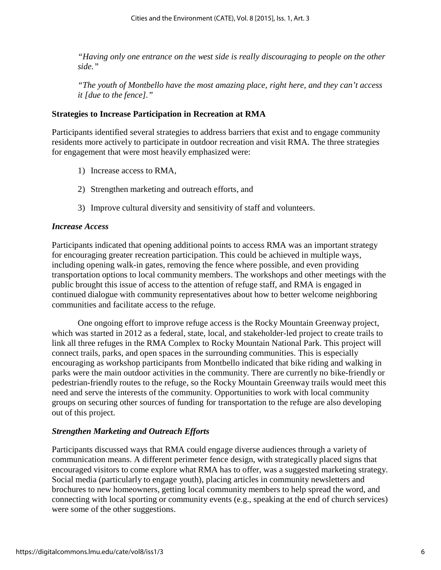*"Having only one entrance on the west side is really discouraging to people on the other side."*

*"The youth of Montbello have the most amazing place, right here, and they can't access it [due to the fence]."*

## **Strategies to Increase Participation in Recreation at RMA**

Participants identified several strategies to address barriers that exist and to engage community residents more actively to participate in outdoor recreation and visit RMA. The three strategies for engagement that were most heavily emphasized were:

- 1) Increase access to RMA,
- 2) Strengthen marketing and outreach efforts, and
- 3) Improve cultural diversity and sensitivity of staff and volunteers.

#### *Increase Access*

Participants indicated that opening additional points to access RMA was an important strategy for encouraging greater recreation participation. This could be achieved in multiple ways, including opening walk-in gates, removing the fence where possible, and even providing transportation options to local community members. The workshops and other meetings with the public brought this issue of access to the attention of refuge staff, and RMA is engaged in continued dialogue with community representatives about how to better welcome neighboring communities and facilitate access to the refuge.

One ongoing effort to improve refuge access is the Rocky Mountain Greenway project, which was started in 2012 as a federal, state, local, and stakeholder-led project to create trails to link all three refuges in the RMA Complex to Rocky Mountain National Park. This project will connect trails, parks, and open spaces in the surrounding communities. This is especially encouraging as workshop participants from Montbello indicated that bike riding and walking in parks were the main outdoor activities in the community. There are currently no bike-friendly or pedestrian-friendly routes to the refuge, so the Rocky Mountain Greenway trails would meet this need and serve the interests of the community. Opportunities to work with local community groups on securing other sources of funding for transportation to the refuge are also developing out of this project.

## *Strengthen Marketing and Outreach Efforts*

Participants discussed ways that RMA could engage diverse audiences through a variety of communication means. A different perimeter fence design, with strategically placed signs that encouraged visitors to come explore what RMA has to offer, was a suggested marketing strategy. Social media (particularly to engage youth), placing articles in community newsletters and brochures to new homeowners, getting local community members to help spread the word, and connecting with local sporting or community events (e.g., speaking at the end of church services) were some of the other suggestions.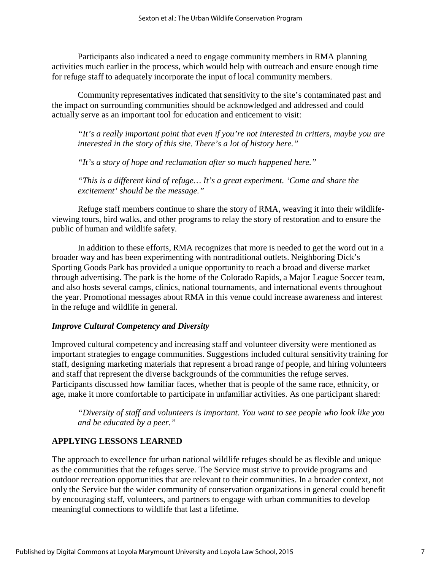Participants also indicated a need to engage community members in RMA planning activities much earlier in the process, which would help with outreach and ensure enough time for refuge staff to adequately incorporate the input of local community members.

Community representatives indicated that sensitivity to the site's contaminated past and the impact on surrounding communities should be acknowledged and addressed and could actually serve as an important tool for education and enticement to visit:

*"It's a really important point that even if you're not interested in critters, maybe you are interested in the story of this site. There's a lot of history here."*

*"It's a story of hope and reclamation after so much happened here."*

*"This is a different kind of refuge… It's a great experiment. 'Come and share the excitement' should be the message."*

Refuge staff members continue to share the story of RMA, weaving it into their wildlifeviewing tours, bird walks, and other programs to relay the story of restoration and to ensure the public of human and wildlife safety.

In addition to these efforts, RMA recognizes that more is needed to get the word out in a broader way and has been experimenting with nontraditional outlets. Neighboring Dick's Sporting Goods Park has provided a unique opportunity to reach a broad and diverse market through advertising. The park is the home of the Colorado Rapids, a Major League Soccer team, and also hosts several camps, clinics, national tournaments, and international events throughout the year. Promotional messages about RMA in this venue could increase awareness and interest in the refuge and wildlife in general.

## *Improve Cultural Competency and Diversity*

Improved cultural competency and increasing staff and volunteer diversity were mentioned as important strategies to engage communities. Suggestions included cultural sensitivity training for staff, designing marketing materials that represent a broad range of people, and hiring volunteers and staff that represent the diverse backgrounds of the communities the refuge serves. Participants discussed how familiar faces, whether that is people of the same race, ethnicity, or age, make it more comfortable to participate in unfamiliar activities. As one participant shared:

*"Diversity of staff and volunteers is important. You want to see people who look like you and be educated by a peer."*

## **APPLYING LESSONS LEARNED**

The approach to excellence for urban national wildlife refuges should be as flexible and unique as the communities that the refuges serve. The Service must strive to provide programs and outdoor recreation opportunities that are relevant to their communities. In a broader context, not only the Service but the wider community of conservation organizations in general could benefit by encouraging staff, volunteers, and partners to engage with urban communities to develop meaningful connections to wildlife that last a lifetime.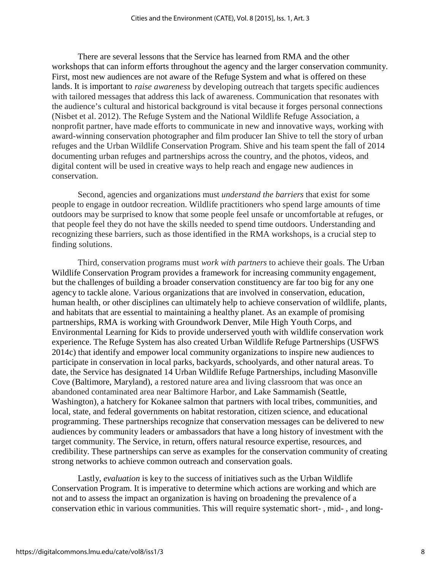There are several lessons that the Service has learned from RMA and the other workshops that can inform efforts throughout the agency and the larger conservation community. First, most new audiences are not aware of the Refuge System and what is offered on these lands. It is important to *raise awareness* by developing outreach that targets specific audiences with tailored messages that address this lack of awareness. Communication that resonates with the audience's cultural and historical background is vital because it forges personal connections (Nisbet et al. 2012). The Refuge System and the National Wildlife Refuge Association, a nonprofit partner, have made efforts to communicate in new and innovative ways, working with award-winning conservation photographer and film producer Ian Shive to tell the story of urban refuges and the Urban Wildlife Conservation Program. Shive and his team spent the fall of 2014 documenting urban refuges and partnerships across the country, and the photos, videos, and digital content will be used in creative ways to help reach and engage new audiences in conservation.

Second, agencies and organizations must *understand the barriers* that exist for some people to engage in outdoor recreation. Wildlife practitioners who spend large amounts of time outdoors may be surprised to know that some people feel unsafe or uncomfortable at refuges, or that people feel they do not have the skills needed to spend time outdoors. Understanding and recognizing these barriers, such as those identified in the RMA workshops, is a crucial step to finding solutions.

Third, conservation programs must *work with partners* to achieve their goals. The Urban Wildlife Conservation Program provides a framework for increasing community engagement, but the challenges of building a broader conservation constituency are far too big for any one agency to tackle alone. Various organizations that are involved in conservation, education, human health, or other disciplines can ultimately help to achieve conservation of wildlife, plants, and habitats that are essential to maintaining a healthy planet. As an example of promising partnerships, RMA is working with Groundwork Denver, Mile High Youth Corps, and Environmental Learning for Kids to provide underserved youth with wildlife conservation work experience. The Refuge System has also created Urban Wildlife Refuge Partnerships (USFWS 2014c) that identify and empower local community organizations to inspire new audiences to participate in conservation in local parks, backyards, schoolyards, and other natural areas. To date, the Service has designated 14 Urban Wildlife Refuge Partnerships, including Masonville Cove (Baltimore, Maryland), a restored nature area and living classroom that was once an abandoned contaminated area near Baltimore Harbor, and Lake Sammamish (Seattle, Washington), a hatchery for Kokanee salmon that partners with local tribes, communities, and local, state, and federal governments on habitat restoration, citizen science, and educational programming. These partnerships recognize that conservation messages can be delivered to new audiences by community leaders or ambassadors that have a long history of investment with the target community. The Service, in return, offers natural resource expertise, resources, and credibility. These partnerships can serve as examples for the conservation community of creating strong networks to achieve common outreach and conservation goals.

Lastly, *evaluation* is key to the success of initiatives such as the Urban Wildlife Conservation Program. It is imperative to determine which actions are working and which are not and to assess the impact an organization is having on broadening the prevalence of a conservation ethic in various communities. This will require systematic short- , mid- , and long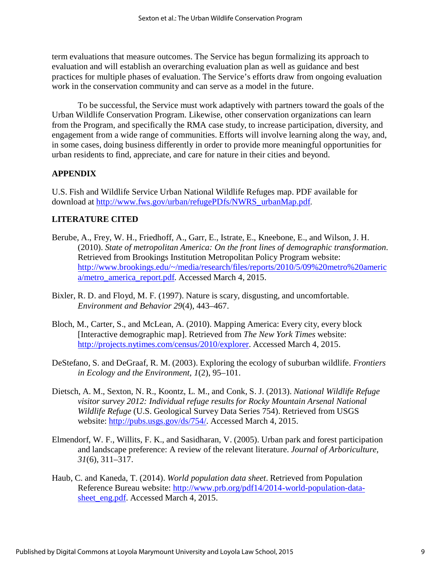term evaluations that measure outcomes. The Service has begun formalizing its approach to evaluation and will establish an overarching evaluation plan as well as guidance and best practices for multiple phases of evaluation. The Service's efforts draw from ongoing evaluation work in the conservation community and can serve as a model in the future.

To be successful, the Service must work adaptively with partners toward the goals of the Urban Wildlife Conservation Program. Likewise, other conservation organizations can learn from the Program, and specifically the RMA case study, to increase participation, diversity, and engagement from a wide range of communities. Efforts will involve learning along the way, and, in some cases, doing business differently in order to provide more meaningful opportunities for urban residents to find, appreciate, and care for nature in their cities and beyond.

## **APPENDIX**

U.S. Fish and Wildlife Service Urban National Wildlife Refuges map. PDF available for download at [http://www.fws.gov/urban/refugePDfs/NWRS\\_urbanMap.pdf.](http://www.fws.gov/urban/refugePDfs/NWRS_urbanMap.pdf)

## **LITERATURE CITED**

- Berube, A., Frey, W. H., Friedhoff, A., Garr, E., Istrate, E., Kneebone, E., and Wilson, J. H. (2010). *State of metropolitan America: On the front lines of demographic transformation*. Retrieved from Brookings Institution Metropolitan Policy Program website: [http://www.brookings.edu/~/media/research/files/reports/2010/5/09%20metro%20americ](http://www.brookings.edu/~/media/research/files/reports/2010/5/09%20metro%20america/metro_america_report.pdf) [a/metro\\_america\\_report.pdf.](http://www.brookings.edu/~/media/research/files/reports/2010/5/09%20metro%20america/metro_america_report.pdf) Accessed March 4, 2015.
- Bixler, R. D. and Floyd, M. F. (1997). Nature is scary, disgusting, and uncomfortable. *Environment and Behavior 29*(4), 443–467.
- Bloch, M., Carter, S., and McLean, A. (2010). Mapping America: Every city, every block [Interactive demographic map]. Retrieved from *The New York Times* website: [http://projects.nytimes.com/census/2010/explorer.](http://projects.nytimes.com/census/2010/explorer) Accessed March 4, 2015.
- DeStefano, S. and DeGraaf, R. M. (2003). Exploring the ecology of suburban wildlife. *Frontiers in Ecology and the Environment, 1*(2), 95–101.
- Dietsch, A. M., Sexton, N. R., Koontz, L. M., and Conk, S. J. (2013). *National Wildlife Refuge visitor survey 2012: Individual refuge results for Rocky Mountain Arsenal National Wildlife Refuge* (U.S. Geological Survey Data Series 754). Retrieved from USGS website: [http://pubs.usgs.gov/ds/754/.](http://pubs.usgs.gov/ds/754/) Accessed March 4, 2015.
- Elmendorf, W. F., Willits, F. K., and Sasidharan, V. (2005). Urban park and forest participation and landscape preference: A review of the relevant literature. *Journal of Arboriculture, 31*(6), 311–317.
- Haub, C. and Kaneda, T. (2014). *World population data sheet*. Retrieved from Population Reference Bureau website: [http://www.prb.org/pdf14/2014-world-population-data](http://www.prb.org/pdf14/2014-world-population-data-sheet_eng.pdf)[sheet\\_eng.pdf.](http://www.prb.org/pdf14/2014-world-population-data-sheet_eng.pdf) Accessed March 4, 2015.